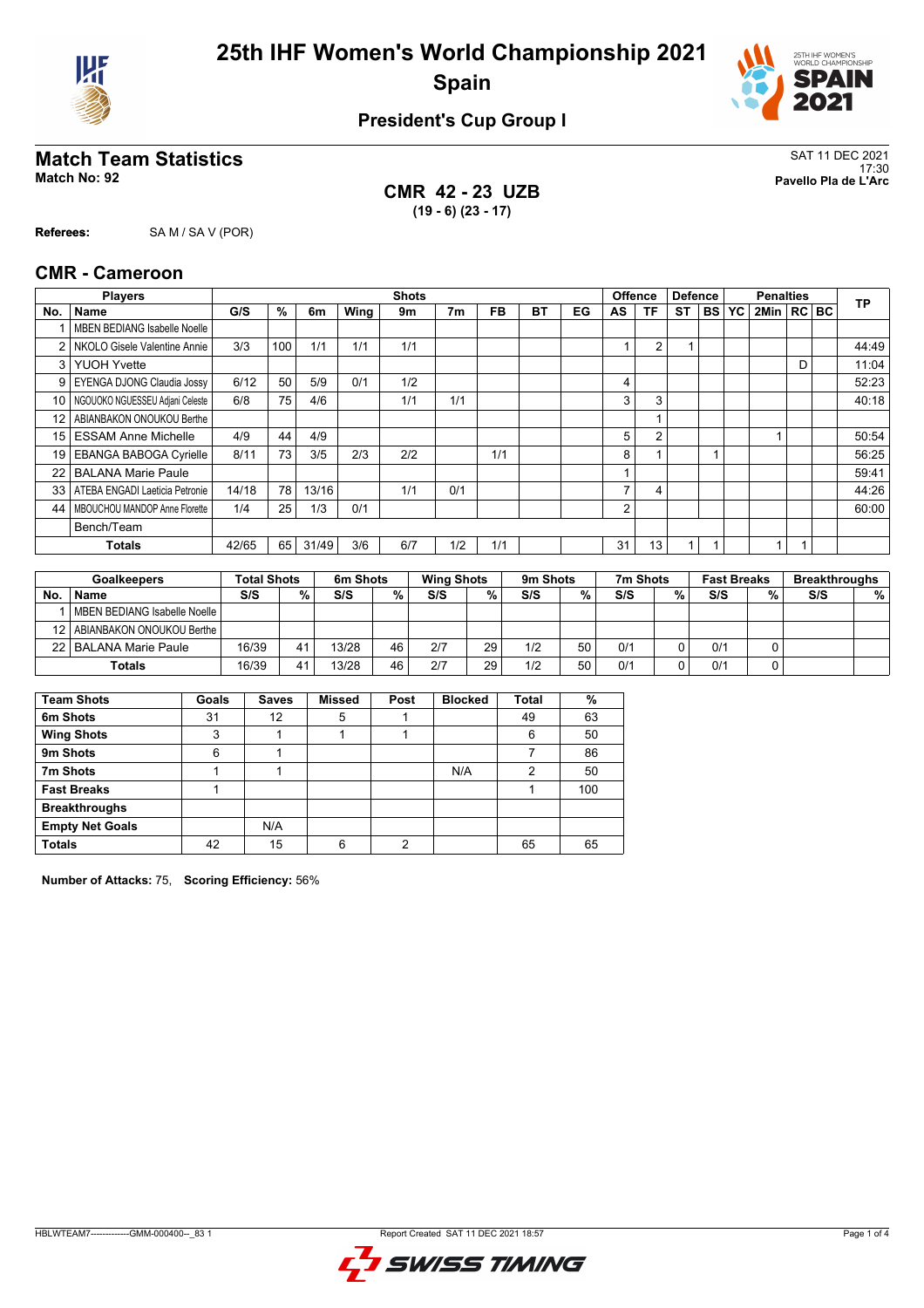



## **President's Cup Group I**

## **Match Team Statistics** SAT 11 DEC 2021

**CMR 42 - 23 UZB (19 - 6) (23 - 17)**

17:30 **Match No: 92 Pavello Pla de L'Arc**

**Referees:** SA M / SA V (POR)

#### **CMR - Cameroon**

|      | <b>Players</b>                      |       |                 |       |      | <b>Shots</b> |                |     |    |    |                | <b>Offence</b> | <b>Defence</b> |           |    | <b>Penalties</b> |   | <b>TP</b> |
|------|-------------------------------------|-------|-----------------|-------|------|--------------|----------------|-----|----|----|----------------|----------------|----------------|-----------|----|------------------|---|-----------|
| No.  | Name                                | G/S   | %               | 6m    | Wing | 9m           | 7 <sub>m</sub> | FB  | ВT | EG | AS             | <b>TF</b>      | <b>ST</b>      | <b>BS</b> | YC | 2Min RC BC       |   |           |
|      | MBEN BEDIANG Isabelle Noelle        |       |                 |       |      |              |                |     |    |    |                |                |                |           |    |                  |   |           |
| 2    | NKOLO Gisele Valentine Annie        | 3/3   | 100             | 1/1   | 1/1  | 1/1          |                |     |    |    |                | $\overline{2}$ | 4              |           |    |                  |   | 44:49     |
| 3    | <b>YUOH Yvette</b>                  |       |                 |       |      |              |                |     |    |    |                |                |                |           |    |                  | D | 11:04     |
| 9    | EYENGA DJONG Claudia Jossy          | 6/12  | 50              | 5/9   | 0/1  | 1/2          |                |     |    |    | 4              |                |                |           |    |                  |   | 52:23     |
| 10 l | NGOUOKO NGUESSEU Adjani Celeste     | 6/8   | 75 <sub>1</sub> | 4/6   |      | 1/1          | 1/1            |     |    |    | 3              | 3              |                |           |    |                  |   | 40:18     |
| 12   | ABIANBAKON ONOUKOU Berthe           |       |                 |       |      |              |                |     |    |    |                |                |                |           |    |                  |   |           |
| 15   | <b>ESSAM Anne Michelle</b>          | 4/9   | 44              | 4/9   |      |              |                |     |    |    | 5              | $\overline{2}$ |                |           |    |                  |   | 50:54     |
| 19   | <b>EBANGA BABOGA Cyrielle</b>       | 8/11  | 73              | 3/5   | 2/3  | 2/2          |                | 1/1 |    |    | 8              |                |                |           |    |                  |   | 56:25     |
| 22   | <b>BALANA Marie Paule</b>           |       |                 |       |      |              |                |     |    |    |                |                |                |           |    |                  |   | 59:41     |
|      | 33   ATEBA ENGADI Laeticia Petronie | 14/18 | 78              | 13/16 |      | 1/1          | 0/1            |     |    |    | $\overline{ }$ | 4              |                |           |    |                  |   | 44:26     |
| 44   | MBOUCHOU MANDOP Anne Florette       | 1/4   | 25              | 1/3   | 0/1  |              |                |     |    |    | 2              |                |                |           |    |                  |   | 60:00     |
|      | Bench/Team                          |       |                 |       |      |              |                |     |    |    |                |                |                |           |    |                  |   |           |
|      | <b>Totals</b>                       | 42/65 | 65              | 31/49 | 3/6  | 6/7          | 1/2            | 1/1 |    |    | 31             | 13             | 1              |           |    |                  |   |           |

|    | <b>Goalkeepers</b>             |       | <b>Total Shots</b> |       | 6m Shots |     | <b>Wing Shots</b> |     | 9m Shots |     | 7m Shots |     | <b>Fast Breaks</b> |     | <b>Breakthroughs</b> |  |
|----|--------------------------------|-------|--------------------|-------|----------|-----|-------------------|-----|----------|-----|----------|-----|--------------------|-----|----------------------|--|
| No | <b>Name</b>                    | S/S   | %                  | S/S   | %        | S/S | %.                | S/S | %        | S/S | %        | S/S | %                  | S/S | %                    |  |
|    | MBEN BEDIANG Isabelle Noelle   |       |                    |       |          |     |                   |     |          |     |          |     |                    |     |                      |  |
|    | 12   ABIANBAKON ONOUKOU Berthe |       |                    |       |          |     |                   |     |          |     |          |     |                    |     |                      |  |
|    | 22   BALANA Marie Paule        | 16/39 | 41                 | 13/28 | 46       | 2/7 | 29                | 1/2 | 50       | 0/1 |          | 0/1 |                    |     |                      |  |
|    | <b>Totals</b>                  | 16/39 | 41                 | 13/28 | 46       | 2/7 | 29                | 1/2 | 50       | 0/1 |          | 0/1 |                    |     |                      |  |

| <b>Team Shots</b>      | Goals | <b>Saves</b> | <b>Missed</b> | Post | <b>Blocked</b> | <b>Total</b> | %   |
|------------------------|-------|--------------|---------------|------|----------------|--------------|-----|
| 6m Shots               | 31    | 12           | 5             |      |                | 49           | 63  |
| <b>Wing Shots</b>      | 3     |              |               |      |                | 6            | 50  |
| 9m Shots               | 6     |              |               |      |                |              | 86  |
| 7m Shots               |       |              |               |      | N/A            | ◠            | 50  |
| <b>Fast Breaks</b>     |       |              |               |      |                |              | 100 |
| <b>Breakthroughs</b>   |       |              |               |      |                |              |     |
| <b>Empty Net Goals</b> |       | N/A          |               |      |                |              |     |
| <b>Totals</b>          | 42    | 15           | 6             | ◠    |                | 65           | 65  |

**Number of Attacks:** 75, **Scoring Efficiency:** 56%

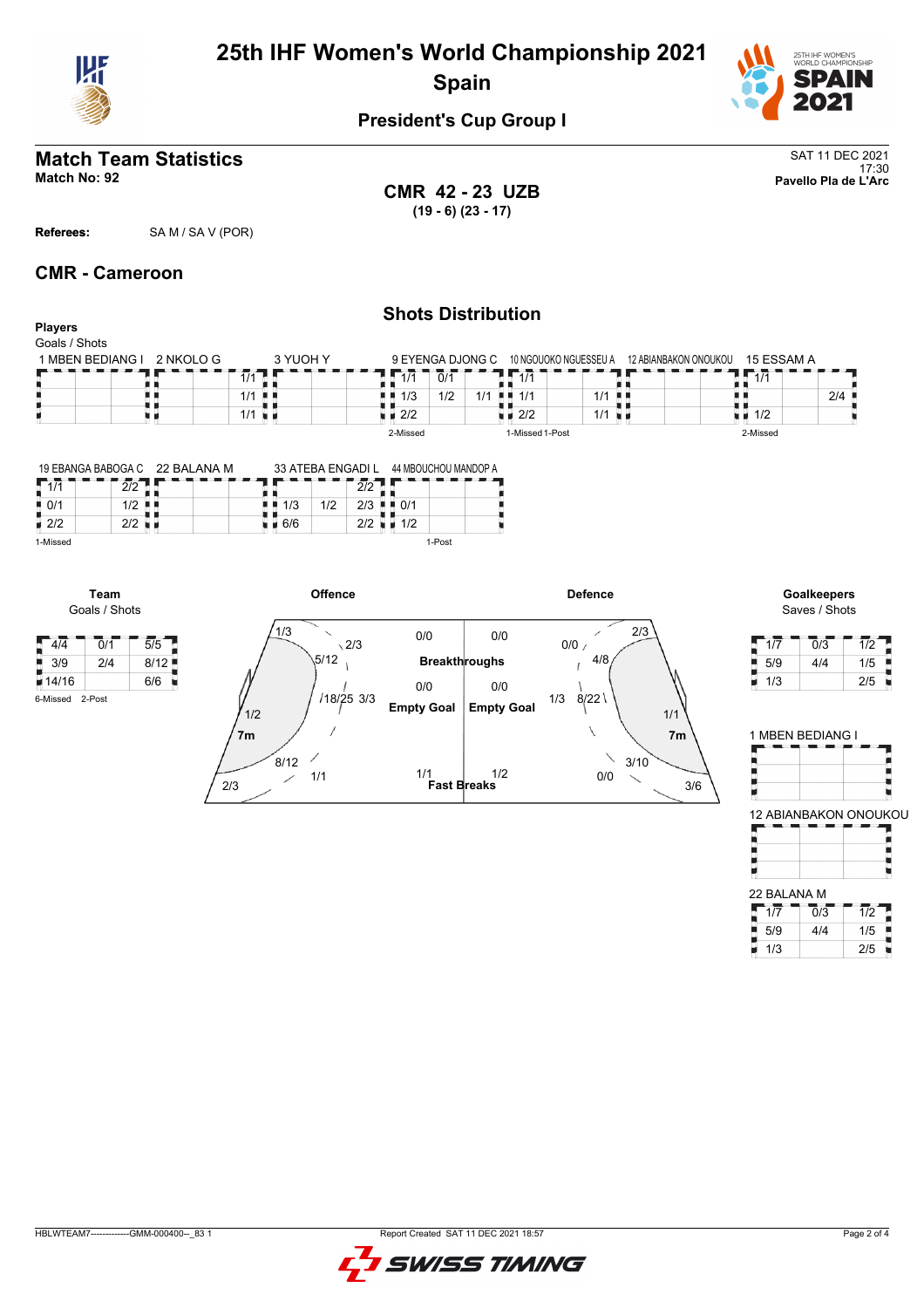

# **25th IHF Women's World Championship 2021 Spain**



## **President's Cup Group I**

#### **Match Team Statistics** SAT 11 DEC 2021 17:30 **Match No: 92 Pavello Pla de L'Arc**

**CMR 42 - 23 UZB (19 - 6) (23 - 17)**

**Players**

**Referees:** SA M / SA V (POR)

#### **CMR - Cameroon**

#### **Shots Distribution**

| Goals / Shots    |           |          |                    |     |                  |                    |                       |                       |                    |     |
|------------------|-----------|----------|--------------------|-----|------------------|--------------------|-----------------------|-----------------------|--------------------|-----|
| 1 MBEN BEDIANG I | 2 NKOLO G | 3 YUOH Y |                    |     | 9 EYENGA DJONG C |                    | 10 NGOUOKO NGUESSEU A | 12 ABIANBAKON ONOUKOU | 15 ESSAM A         |     |
|                  |           | 1/1      | 1/1                | 0/1 |                  | 1/1                |                       |                       | 1/1                |     |
|                  |           | 1/1 ■ ■  | 1/3                | 1/2 | 1/1<br>.         | 1/1                | $1/1$                 |                       |                    | 2/4 |
|                  |           | 1/1      | $\blacksquare$ 2/2 |     |                  | $\blacksquare$ 2/2 | $1/1$ $\blacksquare$  |                       | $\blacksquare$ 1/2 |     |
|                  |           |          | 2-Missed           |     |                  | 1-Missed 1-Post    |                       |                       | 2-Missed           |     |

|                    |     | 19 EBANGA BABOGA C 22 BALANA M |     |     | 33 ATEBA ENGADI L | 44 MBOUCHOU MANDOP A |  |
|--------------------|-----|--------------------------------|-----|-----|-------------------|----------------------|--|
|                    |     |                                |     |     |                   |                      |  |
| $\blacksquare$ 0/1 |     |                                | 1/3 | 1/2 | 2/3               | 0/1                  |  |
| $\blacksquare$ 2/2 | רור |                                | 6/6 |     | 2/2               | 1/2                  |  |
| 1-Missed           |     |                                |     |     |                   | 1-Post               |  |





Saves / Shots

|     | 0/3 |     |
|-----|-----|-----|
| 5/9 | 4/4 | 1/5 |
| 1/3 |     | 2/5 |

| 1 MBEN BEDIANG I |  |                         |
|------------------|--|-------------------------|
|                  |  |                         |
|                  |  |                         |
|                  |  | 12 ARIANRAKON ONOLIKOLI |

| 22 BALANA M |                  |                  |
|-------------|------------------|------------------|
| 1/7         | $\overline{0/3}$ | $\overline{1/2}$ |

 $\begin{array}{|c|c|c|c|}\n\hline\n5/9 & 4/4 & 1/5 \\
\hline\n1/3 & 2/5 & \hline\n\end{array}$ 1/3 2/5

Я t

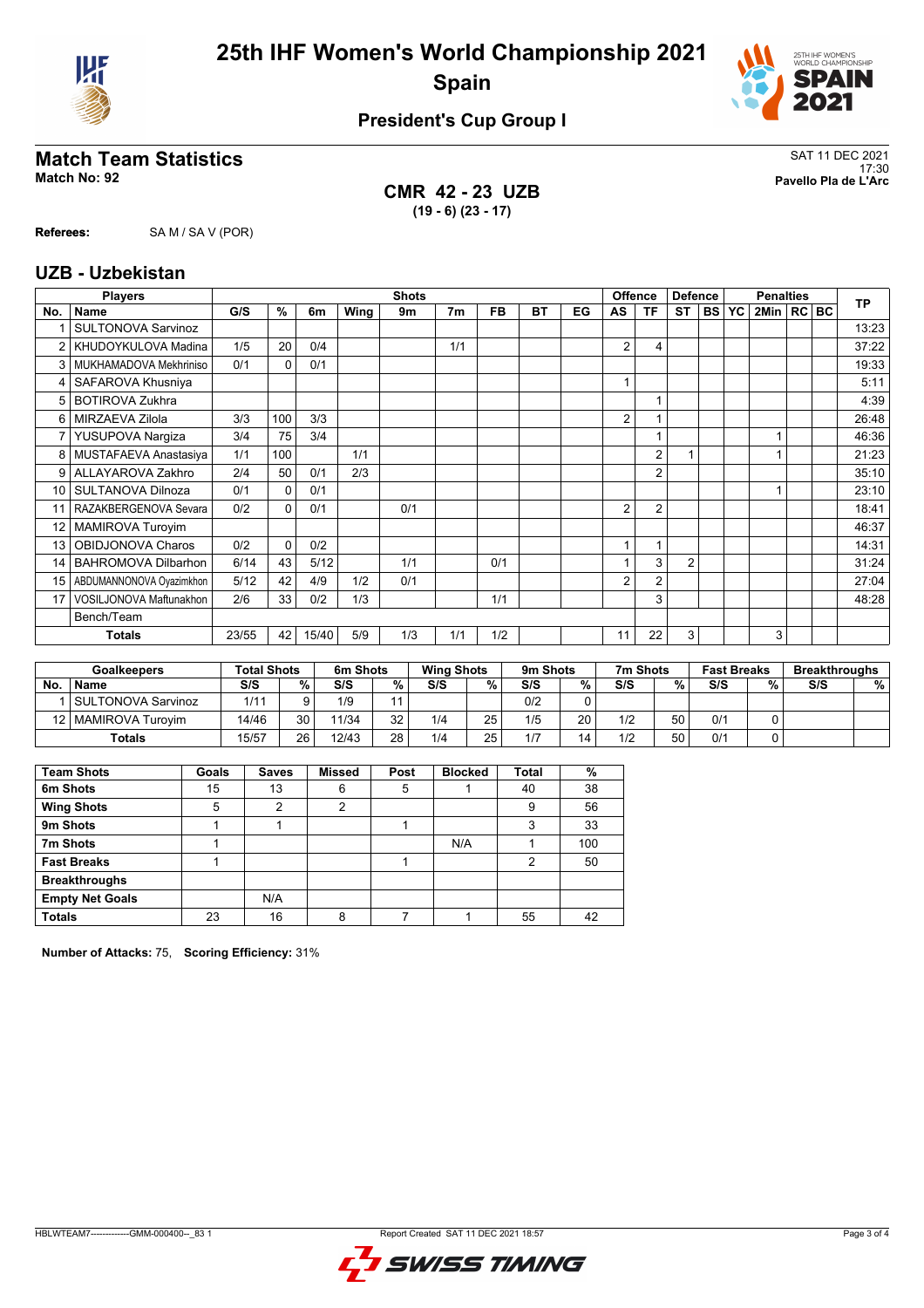



## **President's Cup Group I**

## **Match Team Statistics** SAT 11 DEC 2021

**CMR 42 - 23 UZB (19 - 6) (23 - 17)**

17:30 **Match No: 92 Pavello Pla de L'Arc**

**Referees:** SA M / SA V (POR)

**UZB - Uzbekistan**

|                | <b>Players</b>                 |       | <b>Shots</b> |       |      |     |                |           | <b>Offence</b><br><b>Defence</b> |    |                | <b>Penalties</b> |                |           |           | <b>TP</b>      |  |  |       |
|----------------|--------------------------------|-------|--------------|-------|------|-----|----------------|-----------|----------------------------------|----|----------------|------------------|----------------|-----------|-----------|----------------|--|--|-------|
| No.            | <b>Name</b>                    | G/S   | %            | 6m    | Wing | 9m  | 7 <sub>m</sub> | <b>FB</b> | <b>BT</b>                        | EG | AS             | <b>TF</b>        | <b>ST</b>      | <b>BS</b> | <b>YC</b> | 2Min   RC   BC |  |  |       |
|                | <b>SULTONOVA Sarvinoz</b>      |       |              |       |      |     |                |           |                                  |    |                |                  |                |           |           |                |  |  | 13:23 |
| $\overline{2}$ | KHUDOYKULOVA Madina            | 1/5   | 20           | 0/4   |      |     | 1/1            |           |                                  |    | $\overline{2}$ | 4                |                |           |           |                |  |  | 37:22 |
| 3              | MUKHAMADOVA Mekhriniso         | 0/1   | $\Omega$     | 0/1   |      |     |                |           |                                  |    |                |                  |                |           |           |                |  |  | 19:33 |
| 4              | SAFAROVA Khusniya              |       |              |       |      |     |                |           |                                  |    |                |                  |                |           |           |                |  |  | 5:11  |
| 5              | <b>BOTIROVA Zukhra</b>         |       |              |       |      |     |                |           |                                  |    |                |                  |                |           |           |                |  |  | 4:39  |
| 6              | MIRZAEVA Zilola                | 3/3   | 100          | 3/3   |      |     |                |           |                                  |    | $\overline{2}$ |                  |                |           |           |                |  |  | 26:48 |
| 7              | YUSUPOVA Nargiza               | 3/4   | 75           | 3/4   |      |     |                |           |                                  |    |                |                  |                |           |           |                |  |  | 46:36 |
| 8              | MUSTAFAEVA Anastasiya          | 1/1   | 100          |       | 1/1  |     |                |           |                                  |    |                | 2                | $\overline{1}$ |           |           |                |  |  | 21:23 |
| 9              | ALLAYAROVA Zakhro              | 2/4   | 50           | 0/1   | 2/3  |     |                |           |                                  |    |                | 2                |                |           |           |                |  |  | 35:10 |
| 10             | SULTANOVA Dilnoza              | 0/1   | $\Omega$     | 0/1   |      |     |                |           |                                  |    |                |                  |                |           |           |                |  |  | 23:10 |
| 11             | RAZAKBERGENOVA Sevara          | 0/2   | $\mathbf{0}$ | 0/1   |      | 0/1 |                |           |                                  |    | $\overline{2}$ | $\overline{2}$   |                |           |           |                |  |  | 18:41 |
| 12             | MAMIROVA Turoyim               |       |              |       |      |     |                |           |                                  |    |                |                  |                |           |           |                |  |  | 46:37 |
| 13             | OBIDJONOVA Charos              | 0/2   | $\Omega$     | 0/2   |      |     |                |           |                                  |    |                |                  |                |           |           |                |  |  | 14:31 |
| 14             | <b>BAHROMOVA Dilbarhon</b>     | 6/14  | 43           | 5/12  |      | 1/1 |                | 0/1       |                                  |    |                | 3                | $\overline{2}$ |           |           |                |  |  | 31:24 |
| 15             | ABDUMANNONOVA Oyazimkhon       | 5/12  | 42           | 4/9   | 1/2  | 0/1 |                |           |                                  |    | $\overline{2}$ | 2                |                |           |           |                |  |  | 27:04 |
| 17             | <b>VOSILJONOVA Maftunakhon</b> | 2/6   | 33           | 0/2   | 1/3  |     |                | 1/1       |                                  |    |                | 3                |                |           |           |                |  |  | 48:28 |
|                | Bench/Team                     |       |              |       |      |     |                |           |                                  |    |                |                  |                |           |           |                |  |  |       |
|                | <b>Totals</b>                  | 23/55 | 42           | 15/40 | 5/9  | 1/3 | 1/1            | 1/2       |                                  |    | 11             | 22               | 3              |           |           | 3              |  |  |       |

|           | <b>Goalkeepers</b>    | <b>Total Shots</b> |      | 6m Shots |    | <b>Wing Shots</b> |    | 9m Shots |    | 7m Shots |    | <b>Fast Breaks</b> |   | <b>Breakthroughs</b> |   |
|-----------|-----------------------|--------------------|------|----------|----|-------------------|----|----------|----|----------|----|--------------------|---|----------------------|---|
| <b>No</b> | <b>Name</b>           | S/S                | $\%$ | S/S      | %  | S/S               | %  | S/S      | %  | S/S      | %  | S/S                | % | S/S                  | % |
|           | SULTONOVA Sarvinoz    | 1/11               |      | 1/9      |    |                   |    | 0/2      | 0  |          |    |                    |   |                      |   |
|           | 12   MAMIROVA Turovim | 14/46              | 30   | 11/34    | 32 | 1/4               | 25 | 1/5      | 20 | 1/2      | 50 | 0/1                |   |                      |   |
|           | <b>Totals</b>         | 15/57              | 26   | 12/43    | 28 | 1/4               | 25 | 1/7      | 14 | 1/2      | 50 | 0/1                |   |                      |   |

| <b>Team Shots</b>      | Goals | <b>Saves</b> | <b>Missed</b> | Post | <b>Blocked</b> | Total | %   |
|------------------------|-------|--------------|---------------|------|----------------|-------|-----|
| 6m Shots               | 15    | 13           | 6             | 5    |                | 40    | 38  |
| <b>Wing Shots</b>      | 5     | 2            | 2             |      |                | 9     | 56  |
| 9m Shots               |       |              |               |      |                | 3     | 33  |
| 7m Shots               |       |              |               |      | N/A            |       | 100 |
| <b>Fast Breaks</b>     |       |              |               |      |                | 2     | 50  |
| <b>Breakthroughs</b>   |       |              |               |      |                |       |     |
| <b>Empty Net Goals</b> |       | N/A          |               |      |                |       |     |
| <b>Totals</b>          | 23    | 16           | R             |      |                | 55    | 42  |

**Number of Attacks:** 75, **Scoring Efficiency:** 31%